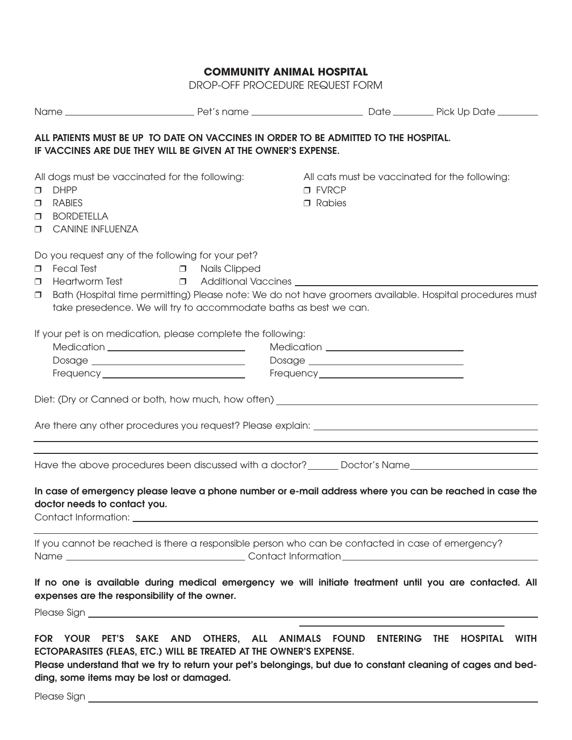DROP-OFF PROCEDURE REQUEST FORM

| ALL PATIENTS MUST BE UP TO DATE ON VACCINES IN ORDER TO BE ADMITTED TO THE HOSPITAL.<br>IF VACCINES ARE DUE THEY WILL BE GIVEN AT THE OWNER'S EXPENSE. |                                                                                                                                                                                                                                                                                                                                                       |                                 |                                  |  |                                                                                                                       |  |  |  |
|--------------------------------------------------------------------------------------------------------------------------------------------------------|-------------------------------------------------------------------------------------------------------------------------------------------------------------------------------------------------------------------------------------------------------------------------------------------------------------------------------------------------------|---------------------------------|----------------------------------|--|-----------------------------------------------------------------------------------------------------------------------|--|--|--|
| $\Box$<br>$\Box$<br>$\Box$                                                                                                                             | All dogs must be vaccinated for the following:<br><b>DHPP</b><br><b>RABIES</b><br><b>BORDETELLA</b><br><b>O</b> CANINE INFLUENZA                                                                                                                                                                                                                      |                                 | $\square$ FVRCP<br>$\Box$ Rabies |  | All cats must be vaccinated for the following:                                                                        |  |  |  |
| σ.<br>Π.<br>σ.                                                                                                                                         | Do you request any of the following for your pet?<br><b>Fecal Test</b><br>Heartworm Test $\qquad \qquad \Box$ Additional Vaccines __________________________________<br>Bath (Hospital time permitting) Please note: We do not have groomers available. Hospital procedures must<br>take presedence. We will try to accommodate baths as best we can. | <b>Example 20</b> Mails Clipped |                                  |  |                                                                                                                       |  |  |  |
|                                                                                                                                                        | If your pet is on medication, please complete the following:                                                                                                                                                                                                                                                                                          |                                 |                                  |  |                                                                                                                       |  |  |  |
|                                                                                                                                                        | Are there any other procedures you request? Please explain: _____________________                                                                                                                                                                                                                                                                     |                                 |                                  |  |                                                                                                                       |  |  |  |
|                                                                                                                                                        | Have the above procedures been discussed with a doctor? _______ Doctor's Name_________________________________<br>In case of emergency please leave a phone number or e-mail address where you can be reached in case the<br>doctor needs to contact you.                                                                                             |                                 |                                  |  | <u> 1989 - Johann Harry Harry Harry Harry Harry Harry Harry Harry Harry Harry Harry Harry Harry Harry Harry Harry</u> |  |  |  |
|                                                                                                                                                        | Contact Information: _                                                                                                                                                                                                                                                                                                                                |                                 |                                  |  |                                                                                                                       |  |  |  |
|                                                                                                                                                        | If you cannot be reached is there a responsible person who can be contacted in case of emergency?                                                                                                                                                                                                                                                     |                                 |                                  |  |                                                                                                                       |  |  |  |
|                                                                                                                                                        | If no one is available during medical emergency we will initiate treatment until you are contacted. All<br>expenses are the responsibility of the owner.                                                                                                                                                                                              |                                 |                                  |  |                                                                                                                       |  |  |  |
|                                                                                                                                                        | FOR YOUR PET'S SAKE AND OTHERS, ALL ANIMALS FOUND ENTERING THE HOSPITAL WITH<br>ECTOPARASITES (FLEAS, ETC.) WILL BE TREATED AT THE OWNER'S EXPENSE.<br>Please understand that we try to return your pet's belongings, but due to constant cleaning of cages and bed-<br>ding, some items may be lost or damaged.                                      |                                 |                                  |  |                                                                                                                       |  |  |  |
|                                                                                                                                                        |                                                                                                                                                                                                                                                                                                                                                       |                                 |                                  |  |                                                                                                                       |  |  |  |